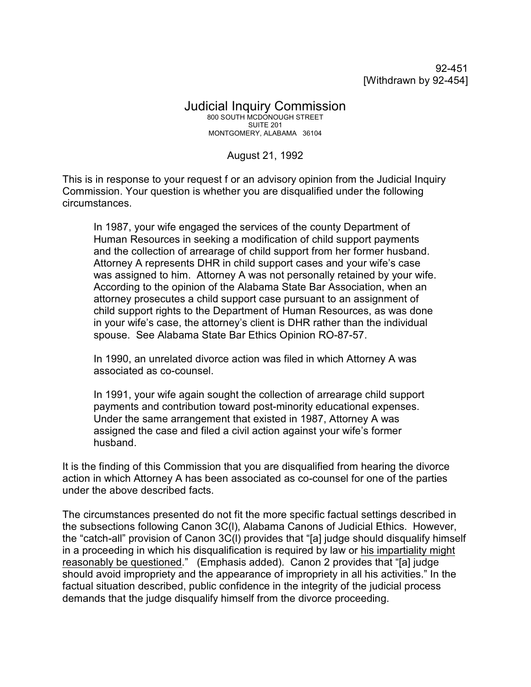92-451 [Withdrawn by 92-454]

## Judicial Inquiry Commission 800 SOUTH MCDONOUGH STREET SUITE 201 MONTGOMERY, ALABAMA 36104

August 21, 1992

This is in response to your request f or an advisory opinion from the Judicial Inquiry Commission. Your question is whether you are disqualified under the following circumstances.

In 1987, your wife engaged the services of the county Department of Human Resources in seeking a modification of child support payments and the collection of arrearage of child support from her former husband. Attorney A represents DHR in child support cases and your wife's case was assigned to him. Attorney A was not personally retained by your wife. According to the opinion of the Alabama State Bar Association, when an attorney prosecutes a child support case pursuant to an assignment of child support rights to the Department of Human Resources, as was done in your wife's case, the attorney's client is DHR rather than the individual spouse. See Alabama State Bar Ethics Opinion RO-87-57.

In 1990, an unrelated divorce action was filed in which Attorney A was associated as co-counsel.

In 1991, your wife again sought the collection of arrearage child support payments and contribution toward post-minority educational expenses. Under the same arrangement that existed in 1987, Attorney A was assigned the case and filed a civil action against your wife's former husband.

It is the finding of this Commission that you are disqualified from hearing the divorce action in which Attorney A has been associated as co-counsel for one of the parties under the above described facts.

The circumstances presented do not fit the more specific factual settings described in the subsections following Canon 3C(l), Alabama Canons of Judicial Ethics. However, the "catch-all" provision of Canon 3C(l) provides that "[a] judge should disqualify himself in a proceeding in which his disqualification is required by law or his impartiality might reasonably be questioned." (Emphasis added). Canon 2 provides that "[a] judge should avoid impropriety and the appearance of impropriety in all his activities." In the factual situation described, public confidence in the integrity of the judicial process demands that the judge disqualify himself from the divorce proceeding.